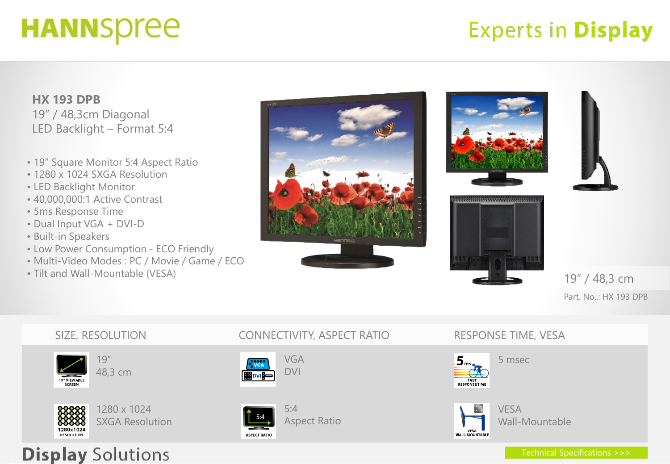# **HANNSpree**

## **Experts in Display**

**HX 193 DPB**  19" / 48,3cm Diagonal LED Backlight – Format 5:4

- 19" Square Monitor 5:4 Aspect Ratio
- 1280 x 1024 SXGA Resolution
- LED Backlight Monitor
- 40,000,000:1 Active Contrast
- 5ms Response Time
- Dual Input VGA + DVI-D
- Built-in Speakers
- Low Power Consumption ECO Friendly
- Multi-Video Modes : PC / Movie / Game / ECO

SXGA Resolution

• Tilt and Wall-Mountable (VESA)



Aspect Ratio

**ASPECT RATIO** 





19" / 48,3 cm Part. No..: HX 193 DPB





5 msec



VESA Wall-Mountable

### **Display Solutions**

1280x1024

**RESOLUTION**